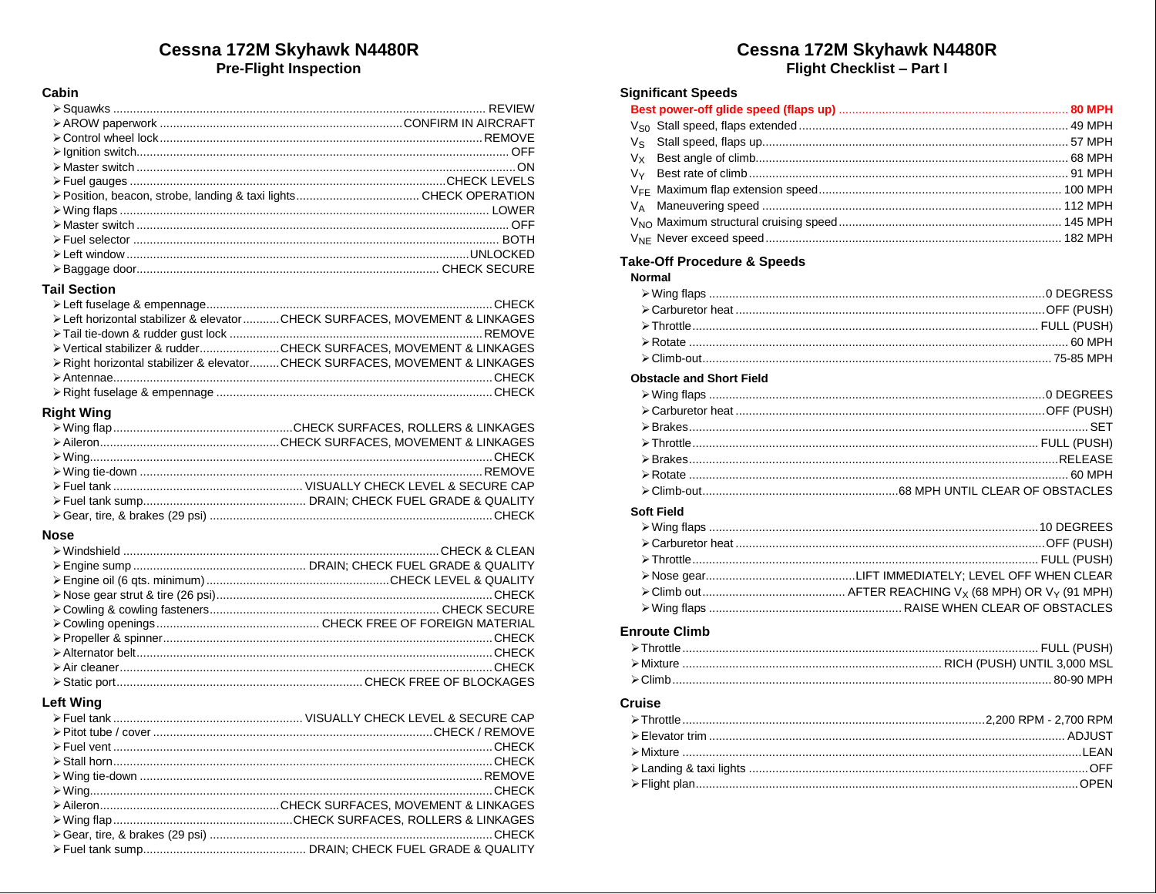# Cessna 172M Skyhawk N4480R **Pre-Flight Inspection**

### Cabin

| Department of the control of the control of the BOTH → Fuel selector (numerical or the control of the control of the control of the control of the control of the control of the control of the control of the control of the |  |
|-------------------------------------------------------------------------------------------------------------------------------------------------------------------------------------------------------------------------------|--|
|                                                                                                                                                                                                                               |  |
|                                                                                                                                                                                                                               |  |
|                                                                                                                                                                                                                               |  |

### **Tail Section**

| ≻ Left horizontal stabilizer & elevator CHECK SURFACES. MOVEMENT & LINKAGES |
|-----------------------------------------------------------------------------|
|                                                                             |
| Exertical stabilizer & rudderCHECK SURFACES. MOVEMENT & LINKAGES            |
| > Right horizontal stabilizer & elevatorCHECK SURFACES, MOVEMENT & LINKAGES |
|                                                                             |
|                                                                             |

# **Right Wing**

#### **Nose**

| Determination of HECK And Manuscript CHECK And CHECK And CHECK And An Annunccional Annunccion of Annunccion and Annunccional Annunccion CHECK And Annunccion and Annunccion Annunccion CHECK Annunccion Annunccion and Annunc |
|-------------------------------------------------------------------------------------------------------------------------------------------------------------------------------------------------------------------------------|
|                                                                                                                                                                                                                               |

### **Left Wing**

# Cessna 172M Skyhawk N4480R

Flight Checklist - Part I

### **Significant Speeds**

## **Take-Off Procedure & Speeds**

| Normal |  |
|--------|--|
|        |  |
|        |  |
|        |  |
|        |  |
|        |  |

### **Obstacle and Short Field**

#### **Soft Field**

### **Enroute Climb**

### **Cruise**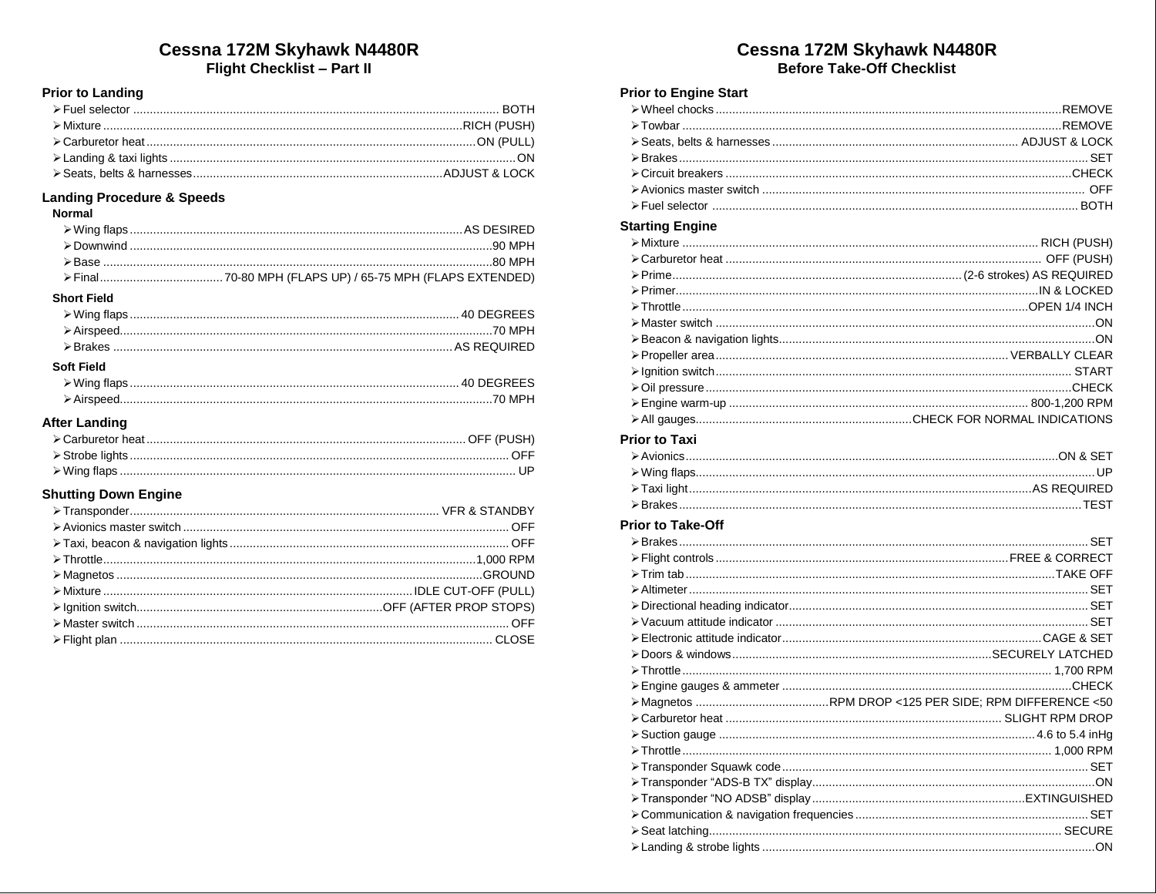# Cessna 172M Skyhawk N4480R

Flight Checklist - Part II

## **Prior to Landing**

### **Landing Procedure & Speeds**

#### **Normal**

|                    | intervention and contract to the Downwind Countries and Countries and Countries and Countries and Countries and Download of Download School and Download School and Download School and Download School and Download School a |
|--------------------|-------------------------------------------------------------------------------------------------------------------------------------------------------------------------------------------------------------------------------|
|                    |                                                                                                                                                                                                                               |
|                    |                                                                                                                                                                                                                               |
| <b>Short Field</b> |                                                                                                                                                                                                                               |

### **Soft Field**

# **After Landing**

### **Shutting Down Engine**

# Cessna 172M Skyhawk N4480R **Before Take-Off Checklist**

## **Prior to Engine Start**

### **Starting Engine**

### **Prior to Taxi**

### **Prior to Take-Off**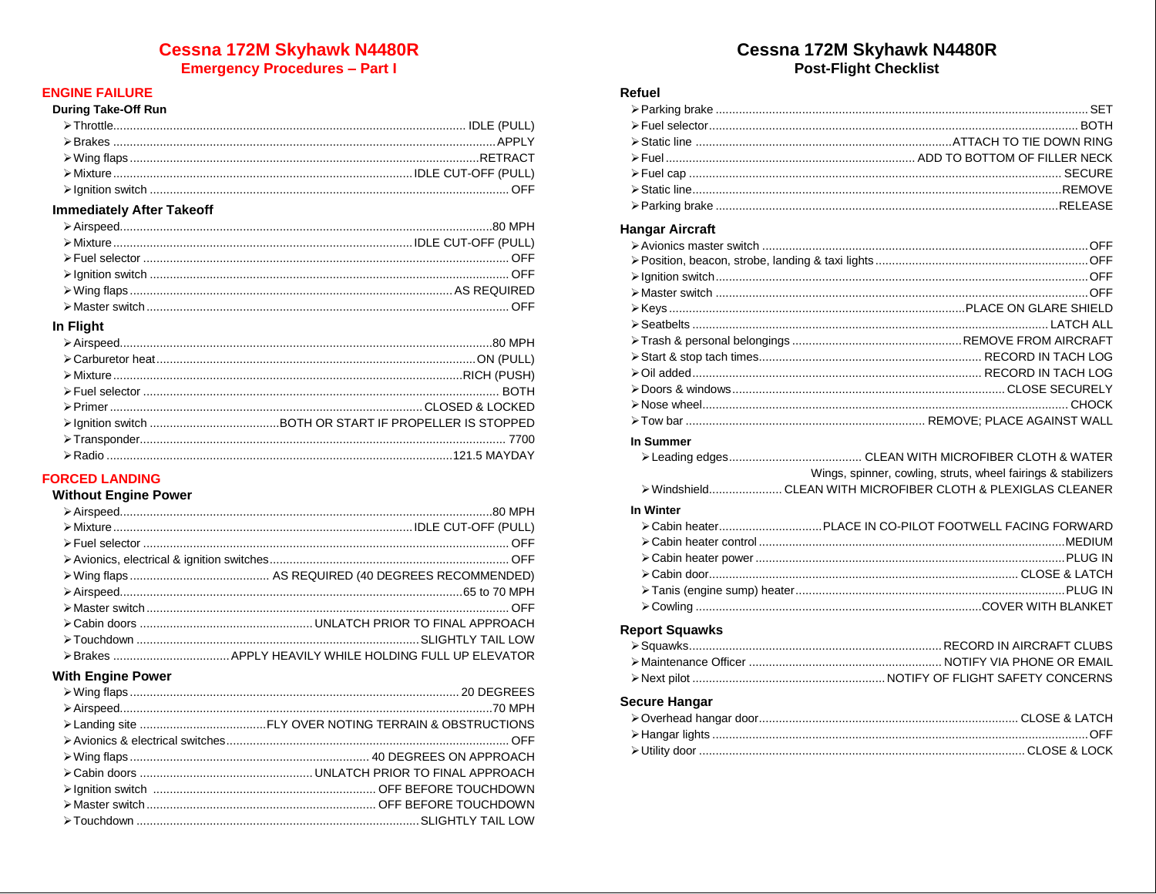# **Cessna 172M Skyhawk N4480R**

**Emergency Procedures - Part I** 

# **ENGINE FAILURE**

### During Take-Off Run

### **Immediately After Takeoff**

### In Flight

| Department of the control of the BOTH → Fuel selector members of the control of the control of the control of the control of the control of the control of the control of the control of the control of the control of the co |
|-------------------------------------------------------------------------------------------------------------------------------------------------------------------------------------------------------------------------------|
|                                                                                                                                                                                                                               |
|                                                                                                                                                                                                                               |
|                                                                                                                                                                                                                               |
|                                                                                                                                                                                                                               |

## **FORCED LANDING**

### **Without Engine Power**

|  | Department of Final Contract of Contract of Circuit Contract of Circuit Contract of Circuit Contract Contract Contract Of Contract Of Contract Of Contract Of Contract Of Contract Of Contract Of Contract Of Contract Of Con |
|--|-------------------------------------------------------------------------------------------------------------------------------------------------------------------------------------------------------------------------------|
|  |                                                                                                                                                                                                                               |
|  |                                                                                                                                                                                                                               |
|  |                                                                                                                                                                                                                               |
|  |                                                                                                                                                                                                                               |
|  |                                                                                                                                                                                                                               |
|  |                                                                                                                                                                                                                               |
|  |                                                                                                                                                                                                                               |

### **With Engine Power**

| Explored a control of the Cover of Court and Cover and Cover and Cover and Cover and Cover and Cover and Cover and Cover and Cover and Cover and Cover and Cover and Cover and Cover and Cover and Cover and Cover and Cover |
|------------------------------------------------------------------------------------------------------------------------------------------------------------------------------------------------------------------------------|

# Cessna 172M Skyhawk N4480R **Post-Flight Checklist**

#### Refuel

### **Hangar Aircraft**

| In Summer                                                    |                                                               |
|--------------------------------------------------------------|---------------------------------------------------------------|
|                                                              |                                                               |
|                                                              | Wings, spinner, cowling, struts, wheel fairings & stabilizers |
| > Windshield CLEAN WITH MICROFIBER CLOTH & PLEXIGLAS CLEANER |                                                               |
| In Winter                                                    |                                                               |
|                                                              |                                                               |
|                                                              |                                                               |
|                                                              |                                                               |
|                                                              |                                                               |
|                                                              |                                                               |
|                                                              |                                                               |
|                                                              |                                                               |

### **Report Squawks**

### **Secure Hangar**